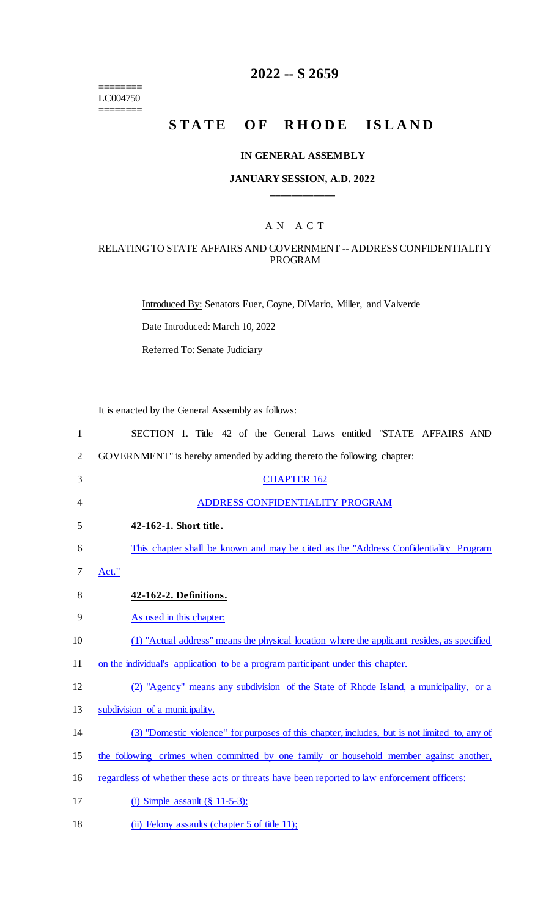======== LC004750

 $=$ 

### **2022 -- S 2659**

## **STATE OF RHODE ISLAND**

### **IN GENERAL ASSEMBLY**

### **JANUARY SESSION, A.D. 2022 \_\_\_\_\_\_\_\_\_\_\_\_**

### A N A C T

### RELATING TO STATE AFFAIRS AND GOVERNMENT -- ADDRESS CONFIDENTIALITY PROGRAM

Introduced By: Senators Euer, Coyne, DiMario, Miller, and Valverde

Date Introduced: March 10, 2022

Referred To: Senate Judiciary

It is enacted by the General Assembly as follows:

| $\mathbf{1}$   | SECTION 1. Title 42 of the General Laws entitled "STATE AFFAIRS AND                           |
|----------------|-----------------------------------------------------------------------------------------------|
| $\overline{2}$ | GOVERNMENT" is hereby amended by adding thereto the following chapter:                        |
| 3              | <b>CHAPTER 162</b>                                                                            |
| 4              | ADDRESS CONFIDENTIALITY PROGRAM                                                               |
| 5              | 42-162-1. Short title.                                                                        |
| 6              | This chapter shall be known and may be cited as the "Address Confidentiality Program"         |
| 7              | Act."                                                                                         |
| 8              | 42-162-2. Definitions.                                                                        |
| 9              | As used in this chapter:                                                                      |
| 10             | (1) "Actual address" means the physical location where the applicant resides, as specified    |
| 11             | on the individual's application to be a program participant under this chapter.               |
| 12             | (2) "Agency" means any subdivision of the State of Rhode Island, a municipality, or a         |
| 13             | subdivision of a municipality.                                                                |
| 14             | (3) "Domestic violence" for purposes of this chapter, includes, but is not limited to, any of |
| 15             | the following crimes when committed by one family or household member against another,        |
| 16             | regardless of whether these acts or threats have been reported to law enforcement officers:   |
| 17             | (i) Simple assault $(\S 11-5-3)$ ;                                                            |

18 (ii) Felony assaults (chapter 5 of title 11);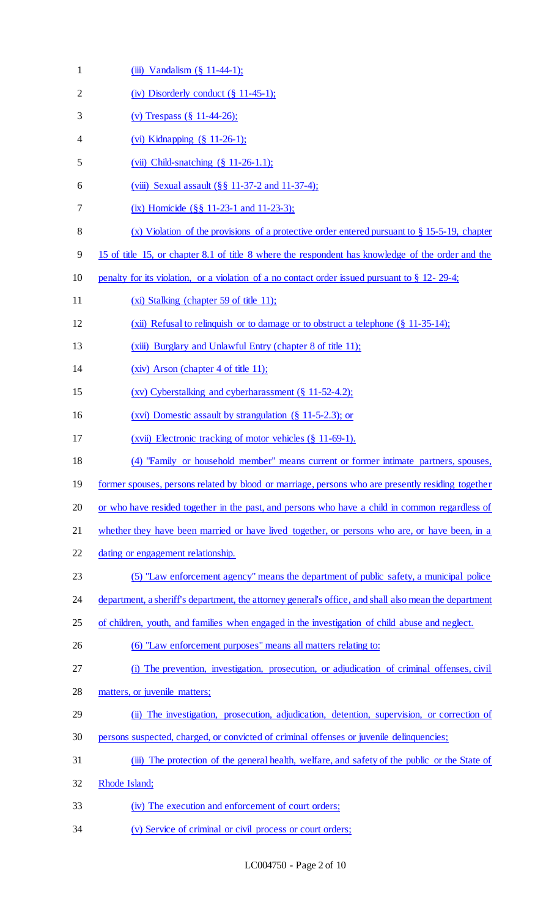| $\mathbf{1}$   | (iii) Vandalism (§ 11-44-1);                                                                          |
|----------------|-------------------------------------------------------------------------------------------------------|
| $\overline{2}$ | (iv) Disorderly conduct $(\S 11-45-1)$ ;                                                              |
| 3              | (v) Trespass $(\S 11-44-26)$ ;                                                                        |
| 4              | (vi) Kidnapping (§ 11-26-1);                                                                          |
| 5              | (vii) Child-snatching $(\S 11-26-1.1);$                                                               |
| 6              | (viii) Sexual assault (§§ 11-37-2 and 11-37-4);                                                       |
| 7              | (ix) Homicide $(\S \S 11-23-1$ and 11-23-3);                                                          |
| $8\,$          | (x) Violation of the provisions of a protective order entered pursuant to $\S 15-5-19$ , chapter      |
| 9              | 15 of title 15, or chapter 8.1 of title 8 where the respondent has knowledge of the order and the     |
| 10             | penalty for its violation, or a violation of a no contact order issued pursuant to $\S 12$ - 29-4;    |
| 11             | (xi) Stalking (chapter 59 of title 11);                                                               |
| 12             | (xii) Refusal to relinquish or to damage or to obstruct a telephone $(\S 11-35-14)$ ;                 |
| 13             | (xiii) Burglary and Unlawful Entry (chapter 8 of title 11);                                           |
| 14             | (xiv) Arson (chapter 4 of title 11);                                                                  |
| 15             | (xv) Cyberstalking and cyberharassment (§ 11-52-4.2);                                                 |
| 16             | (xvi) Domestic assault by strangulation $(\S 11-5-2.3)$ ; or                                          |
| 17             | (xvii) Electronic tracking of motor vehicles (§ 11-69-1).                                             |
| 18             | (4) "Family or household member" means current or former intimate partners, spouses,                  |
| 19             | former spouses, persons related by blood or marriage, persons who are presently residing together     |
| 20             | or who have resided together in the past, and persons who have a child in common regardless of        |
| 21             | whether they have been married or have lived together, or persons who are, or have been, in a         |
| 22             | dating or engagement relationship.                                                                    |
| 23             | (5) "Law enforcement agency" means the department of public safety, a municipal police                |
| 24             | department, a sheriff's department, the attorney general's office, and shall also mean the department |
| 25             | of children, youth, and families when engaged in the investigation of child abuse and neglect.        |
| 26             | (6) "Law enforcement purposes" means all matters relating to:                                         |
| 27             | (i) The prevention, investigation, prosecution, or adjudication of criminal offenses, civil           |
| 28             | matters, or juvenile matters;                                                                         |
| 29             | (ii) The investigation, prosecution, adjudication, detention, supervision, or correction of           |
| 30             | persons suspected, charged, or convicted of criminal offenses or juvenile delinquencies;              |
| 31             | (iii) The protection of the general health, welfare, and safety of the public or the State of         |
| 32             | Rhode Island;                                                                                         |
| 33             | (iv) The execution and enforcement of court orders;                                                   |
| 34             | (v) Service of criminal or civil process or court orders;                                             |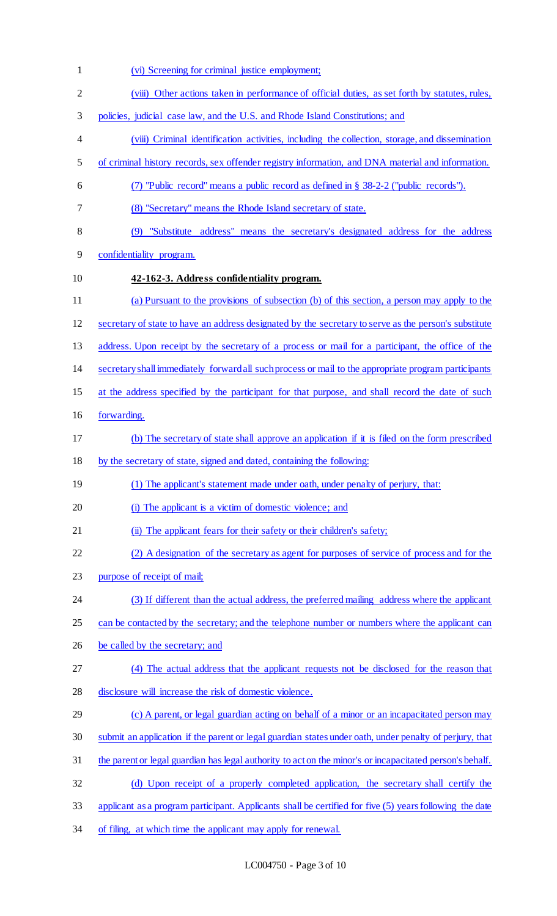(vi) Screening for criminal justice employment; (viii) Other actions taken in performance of official duties, as set forth by statutes, rules, policies, judicial case law, and the U.S. and Rhode Island Constitutions; and (viii) Criminal identification activities, including the collection, storage, and dissemination of criminal history records, sex offender registry information, and DNA material and information. (7) "Public record" means a public record as defined in § 38-2-2 ("public records"). (8) "Secretary" means the Rhode Island secretary of state. (9) "Substitute address" means the secretary's designated address for the address confidentiality program. **42-162-3. Address confidentiality program.**  (a) Pursuant to the provisions of subsection (b) of this section, a person may apply to the secretary of state to have an address designated by the secretary to serve as the person's substitute address. Upon receipt by the secretary of a process or mail for a participant, the office of the secretary shall immediately forward all such process or mail to the appropriate program participants 15 at the address specified by the participant for that purpose, and shall record the date of such forwarding. (b) The secretary of state shall approve an application if it is filed on the form prescribed by the secretary of state, signed and dated, containing the following: 19 (1) The applicant's statement made under oath, under penalty of perjury, that: (i) The applicant is a victim of domestic violence; and 21 (ii) The applicant fears for their safety or their children's safety; (2) A designation of the secretary as agent for purposes of service of process and for the purpose of receipt of mail; (3) If different than the actual address, the preferred mailing address where the applicant 25 can be contacted by the secretary; and the telephone number or numbers where the applicant can 26 be called by the secretary; and (4) The actual address that the applicant requests not be disclosed for the reason that disclosure will increase the risk of domestic violence. (c) A parent, or legal guardian acting on behalf of a minor or an incapacitated person may submit an application if the parent or legal guardian states under oath, under penalty of perjury, that the parent or legal guardian has legal authority to act on the minor's or incapacitated person's behalf. (d) Upon receipt of a properly completed application, the secretary shall certify the applicant as a program participant. Applicants shall be certified for five (5) years following the date 34 of filing, at which time the applicant may apply for renewal.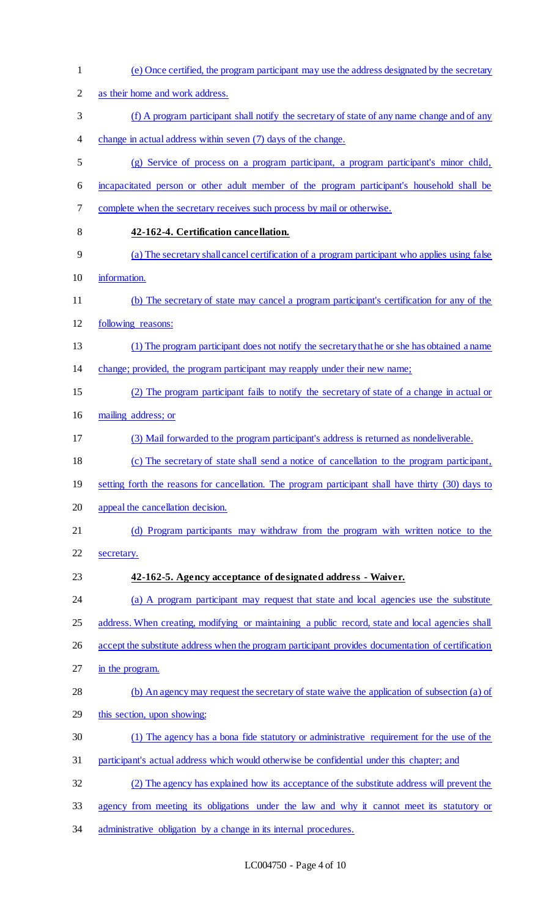| $\mathbf{1}$   | (e) Once certified, the program participant may use the address designated by the secretary        |
|----------------|----------------------------------------------------------------------------------------------------|
| $\overline{2}$ | as their home and work address.                                                                    |
| 3              | (f) A program participant shall notify the secretary of state of any name change and of any        |
| 4              | change in actual address within seven (7) days of the change.                                      |
| 5              | (g) Service of process on a program participant, a program participant's minor child,              |
| 6              | incapacitated person or other adult member of the program participant's household shall be         |
| $\tau$         | complete when the secretary receives such process by mail or otherwise.                            |
| 8              | 42-162-4. Certification cancellation.                                                              |
| 9              | (a) The secretary shall cancel certification of a program participant who applies using false      |
| 10             | information.                                                                                       |
| 11             | (b) The secretary of state may cancel a program participant's certification for any of the         |
| 12             | following reasons:                                                                                 |
| 13             | (1) The program participant does not notify the secretary that he or she has obtained a name       |
| 14             | change; provided, the program participant may reapply under their new name;                        |
| 15             | (2) The program participant fails to notify the secretary of state of a change in actual or        |
| 16             | mailing address; or                                                                                |
| 17             | (3) Mail forwarded to the program participant's address is returned as nondeliverable.             |
| 18             | (c) The secretary of state shall send a notice of cancellation to the program participant,         |
| 19             | setting forth the reasons for cancellation. The program participant shall have thirty (30) days to |
| 20             | appeal the cancellation decision.                                                                  |
| 21             | (d) Program participants may withdraw from the program with written notice to the                  |
| 22             | secretary.                                                                                         |
| 23             | 42-162-5. Agency acceptance of designated address - Waiver.                                        |
| 24             | (a) A program participant may request that state and local agencies use the substitute             |
| 25             | address. When creating, modifying or maintaining a public record, state and local agencies shall   |
| 26             | accept the substitute address when the program participant provides documentation of certification |
| 27             | in the program.                                                                                    |
| 28             | (b) An agency may request the secretary of state waive the application of subsection (a) of        |
| 29             | this section, upon showing:                                                                        |
| 30             | (1) The agency has a bona fide statutory or administrative requirement for the use of the          |
| 31             | participant's actual address which would otherwise be confidential under this chapter; and         |
| 32             | (2) The agency has explained how its acceptance of the substitute address will prevent the         |
| 33             | agency from meeting its obligations under the law and why it cannot meet its statutory or          |
| 34             | administrative obligation by a change in its internal procedures.                                  |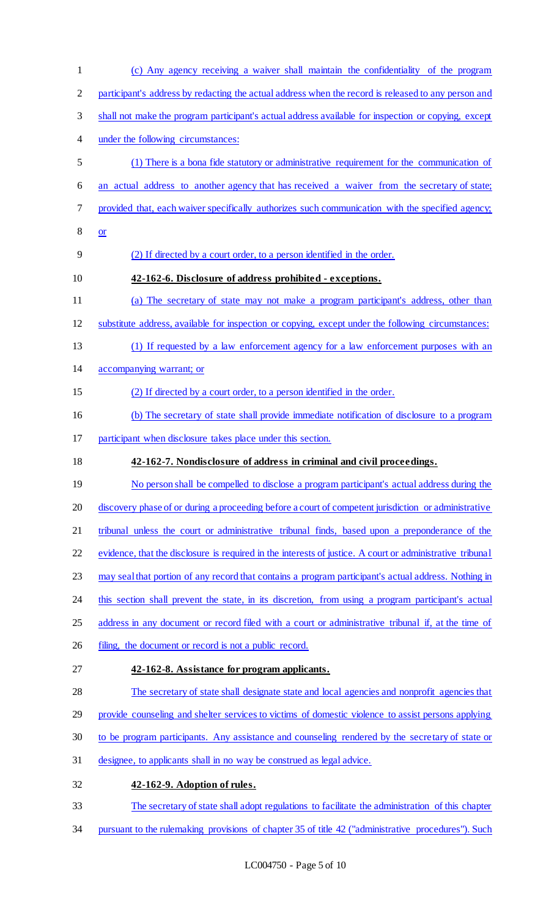(c) Any agency receiving a waiver shall maintain the confidentiality of the program participant's address by redacting the actual address when the record is released to any person and shall not make the program participant's actual address available for inspection or copying, except under the following circumstances: (1) There is a bona fide statutory or administrative requirement for the communication of an actual address to another agency that has received a waiver from the secretary of state; provided that, each waiver specifically authorizes such communication with the specified agency; or (2) If directed by a court order, to a person identified in the order. **42-162-6. Disclosure of address prohibited - exceptions.**  (a) The secretary of state may not make a program participant's address, other than substitute address, available for inspection or copying, except under the following circumstances: (1) If requested by a law enforcement agency for a law enforcement purposes with an accompanying warrant; or (2) If directed by a court order, to a person identified in the order. (b) The secretary of state shall provide immediate notification of disclosure to a program participant when disclosure takes place under this section. **42-162-7. Nondisclosure of address in criminal and civil proceedings.**  19 No person shall be compelled to disclose a program participant's actual address during the discovery phase of or during a proceeding before a court of competent jurisdiction or administrative tribunal unless the court or administrative tribunal finds, based upon a preponderance of the evidence, that the disclosure is required in the interests of justice. A court or administrative tribunal may seal that portion of any record that contains a program participant's actual address. Nothing in this section shall prevent the state, in its discretion, from using a program participant's actual 25 address in any document or record filed with a court or administrative tribunal if, at the time of 26 filing, the document or record is not a public record. **42-162-8. Assistance for program applicants.**  The secretary of state shall designate state and local agencies and nonprofit agencies that provide counseling and shelter services to victims of domestic violence to assist persons applying to be program participants. Any assistance and counseling rendered by the secretary of state or designee, to applicants shall in no way be construed as legal advice. **42-162-9. Adoption of rules.**  The secretary of state shall adopt regulations to facilitate the administration of this chapter pursuant to the rulemaking provisions of chapter 35 of title 42 ("administrative procedures"). Such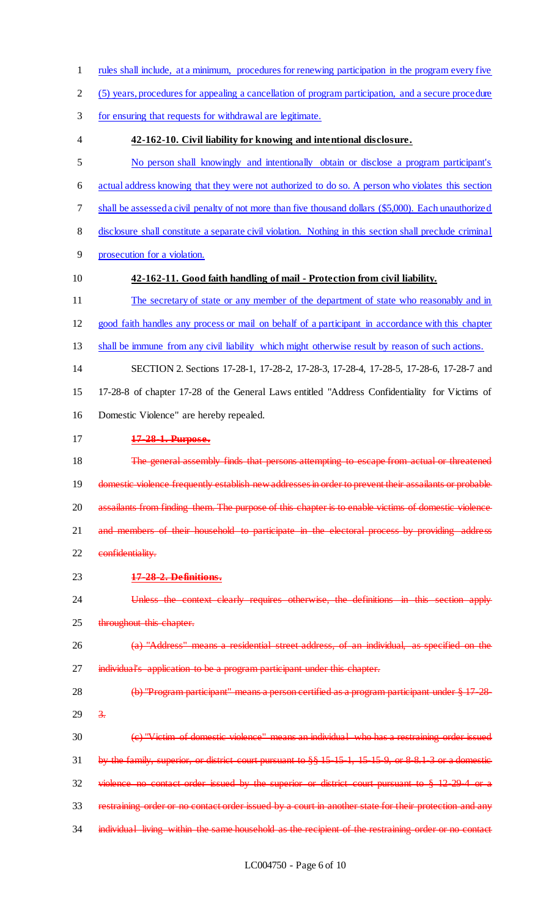- rules shall include, at a minimum, procedures for renewing participation in the program every five
- (5) years, procedures for appealing a cancellation of program participation, and a secure procedure
- for ensuring that requests for withdrawal are legitimate.
- **42-162-10. Civil liability for knowing and intentional disclosure.**
- No person shall knowingly and intentionally obtain or disclose a program participant's
- actual address knowing that they were not authorized to do so. A person who violates this section
- shall be assessed a civil penalty of not more than five thousand dollars (\$5,000). Each unauthorized
- disclosure shall constitute a separate civil violation. Nothing in this section shall preclude criminal
- prosecution for a violation.
- 

### **42-162-11. Good faith handling of mail - Protection from civil liability.**

- The secretary of state or any member of the department of state who reasonably and in good faith handles any process or mail on behalf of a participant in accordance with this chapter
- shall be immune from any civil liability which might otherwise result by reason of such actions.
- SECTION 2. Sections 17-28-1, 17-28-2, 17-28-3, 17-28-4, 17-28-5, 17-28-6, 17-28-7 and 17-28-8 of chapter 17-28 of the General Laws entitled "Address Confidentiality for Victims of Domestic Violence" are hereby repealed.
- **17-28-1. Purpose.**
- The general assembly finds that persons attempting to escape from actual or threatened 19 domestic violence frequently establish new addresses in order to prevent their assailants or probable 20 assailants from finding them. The purpose of this chapter is to enable victims of domestic violence 21 and members of their household to participate in the electoral process by providing address 22 confidentiality.
- **17-28-2. Definitions.**
- Unless the context clearly requires otherwise, the definitions in this section apply 25 throughout this chapter.
- (a) "Address" means a residential street address, of an individual, as specified on the 27 individual's application to be a program participant under this chapter.
- 28 (b) "Program participant" means a person certified as a program participant under § 17-28- $29 \frac{3}{2}$
- (c) "Victim of domestic violence" means an individual who has a restraining order issued by the family, superior, or district court pursuant to §§ 15-15-1, 15-15-9, or 8-8.1-3 or a domestic violence no contact order issued by the superior or district court pursuant to § 12-29-4 or a restraining order or no contact order issued by a court in another state for their protection and any 34 individual living within the same household as the recipient of the restraining order or no contact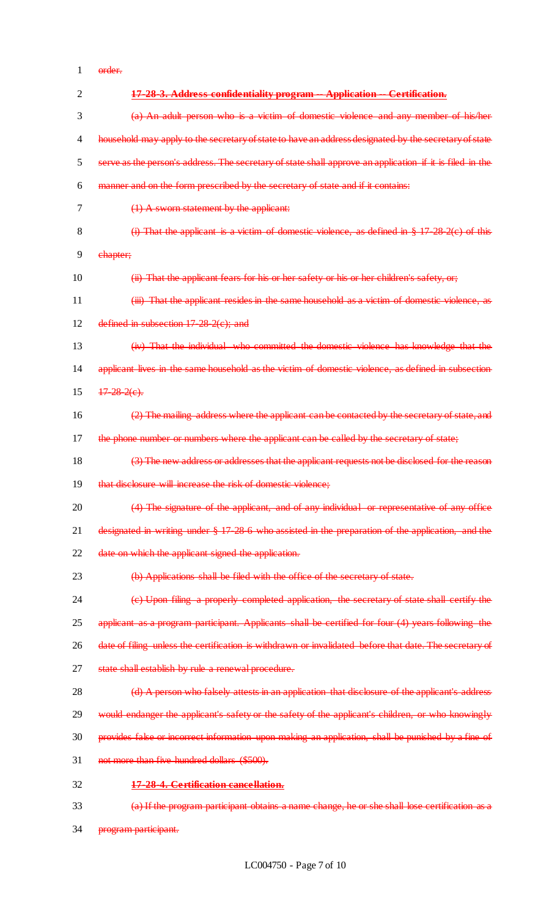order.

| $\overline{2}$ | 17-28-3. Address confidentiality program -- Application -- Certification.                                |
|----------------|----------------------------------------------------------------------------------------------------------|
| 3              | (a) An adult person who is a victim of domestic violence and any member of his/her                       |
| $\overline{4}$ | household may apply to the secretary of state to have an address designated by the secretary of state    |
| 5              | serve as the person's address. The secretary of state shall approve an application if it is filed in the |
| 6              | manner and on the form prescribed by the secretary of state and if it contains:                          |
| 7              | $(1)$ A sworn statement by the applicant:                                                                |
| 8              | (i) That the applicant is a victim of domestic violence, as defined in $\S 17\ 28\ 2(e)$ of this         |
| 9              | ehapter;                                                                                                 |
| 10             | (ii) That the applicant fears for his or her safety or his or her children's safety, or,                 |
| 11             | (iii) That the applicant resides in the same household as a victim of domestic violence, as              |
| 12             | defined in subsection $17-28-2(e)$ ; and                                                                 |
| 13             | (iv) That the individual who committed the domestic violence has knowledge that the                      |
| 14             | applicant lives in the same household as the victim of domestic violence, as defined in subsection       |
| 15             | $17 - 28 - 2(e)$ .                                                                                       |
| 16             | (2) The mailing address where the applicant can be contacted by the secretary of state, and              |
| 17             | the phone number or numbers where the applicant can be called by the secretary of state;                 |
| 18             | (3) The new address or addresses that the applicant requests not be disclosed for the reason             |
| 19             | that disclosure will increase the risk of domestic violence;                                             |
| 20             | (4) The signature of the applicant, and of any individual or representative of any office                |
| 21             | designated in writing under § 17-28-6 who assisted in the preparation of the application, and the        |
| 22             | date on which the applicant signed the application.                                                      |
| 23             | (b) Applications shall be filed with the office of the secretary of state.                               |
| 24             | (e) Upon filing a properly completed application, the secretary of state shall certify the               |
| 25             | applicant as a program participant. Applicants shall be certified for four (4) years following the       |
| 26             | date of filing unless the certification is withdrawn or invalidated before that date. The secretary of   |
| 27             | state shall establish by rule a renewal procedure.                                                       |
| 28             | (d) A person who falsely attests in an application that disclosure of the applicant's address            |
| 29             | would endanger the applicant's safety or the safety of the applicant's children, or who knowingly        |
| 30             | provides false or incorrect information upon making an application, shall be punished by a fine of       |
| 31             | not more than five hundred dollars (\$500).                                                              |
| 32             | 17-28-4. Certification cancellation.                                                                     |
| 33             | (a) If the program participant obtains a name change, he or she shall lose certification as a            |
| 34             | program participant.                                                                                     |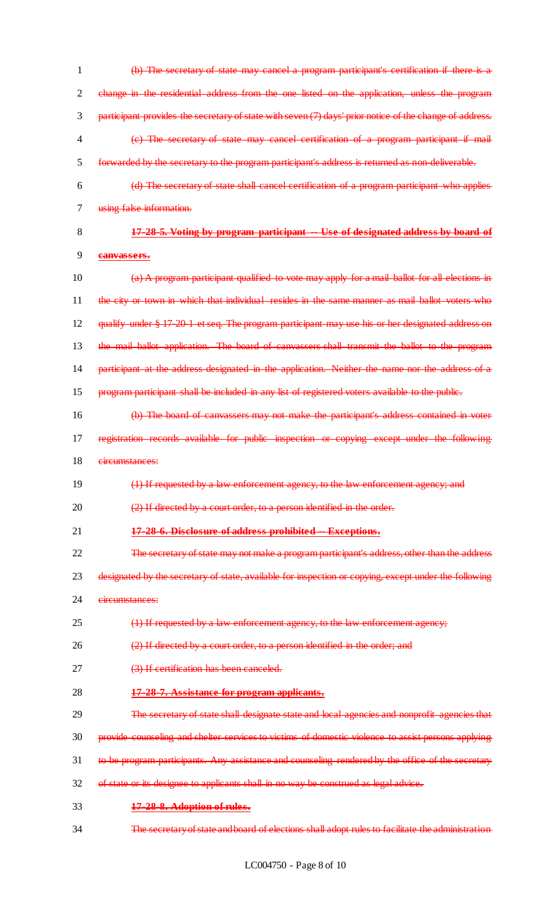(b) The secretary of state may cancel a program participant's certification if there is a change in the residential address from the one listed on the application, unless the program participant provides the secretary of state with seven (7) days' prior notice of the change of address. (c) The secretary of state may cancel certification of a program participant if mail forwarded by the secretary to the program participant's address is returned as non-deliverable. (d) The secretary of state shall cancel certification of a program participant who applies using false information. **17-28-5. Voting by program participant -- Use of designated address by board of** 

**canvassers.**

 (a) A program participant qualified to vote may apply for a mail ballot for all elections in 11 the city or town in which that individual resides in the same manner as mail ballot voters who qualify under § 17-20-1 et seq. The program participant may use his or her designated address on the mail ballot application. The board of canvassers shall transmit the ballot to the program 14 participant at the address designated in the application. Neither the name nor the address of a program participant shall be included in any list of registered voters available to the public.

- (b) The board of canvassers may not make the participant's address contained in voter 17 registration records available for public inspection or copying except under the following
- circumstances:
- (1) If requested by a law enforcement agency, to the law enforcement agency; and
- 20 (2) If directed by a court order, to a person identified in the order.
- **17-28-6. Disclosure of address prohibited -- Exceptions.**
- The secretary of state may not make a program participant's address, other than the address
- designated by the secretary of state, available for inspection or copying, except under the following
- 24 circumstances:
- 25  $\left(1\right)$  If requested by a law enforcement agency, to the law enforcement agency;
- (2) If directed by a court order, to a person identified in the order; and
- 27 (3) If certification has been canceled.
- **17-28-7. Assistance for program applicants.**
- 29 The secretary of state shall designate state and local agencies and nonprofit agencies that
- provide counseling and shelter services to victims of domestic violence to assist persons applying
- 31 to be program participants. Any assistance and counseling rendered by the office of the secretary
- of state or its designee to applicants shall in no way be construed as legal advice.
- **17-28-8. Adoption of rules.**
- The secretary of state and board of elections shall adopt rules to facilitate the administration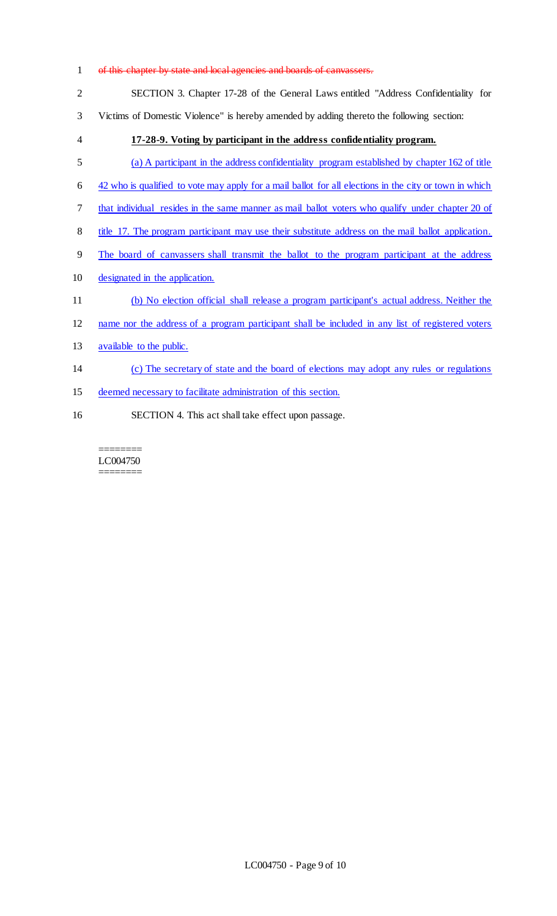# 1 of this chapter by state and local agencies and boards of canvassers. SECTION 3. Chapter 17-28 of the General Laws entitled "Address Confidentiality for Victims of Domestic Violence" is hereby amended by adding thereto the following section: **17-28-9. Voting by participant in the address confidentiality program.**  (a) A participant in the address confidentiality program established by chapter 162 of title 42 who is qualified to vote may apply for a mail ballot for all elections in the city or town in which that individual resides in the same manner as mail ballot voters who qualify under chapter 20 of 8 title 17. The program participant may use their substitute address on the mail ballot application. The board of canvassers shall transmit the ballot to the program participant at the address designated in the application. (b) No election official shall release a program participant's actual address. Neither the name nor the address of a program participant shall be included in any list of registered voters 13 available to the public. (c) The secretary of state and the board of elections may adopt any rules or regulations deemed necessary to facilitate administration of this section.

SECTION 4. This act shall take effect upon passage.

======== LC004750 ========